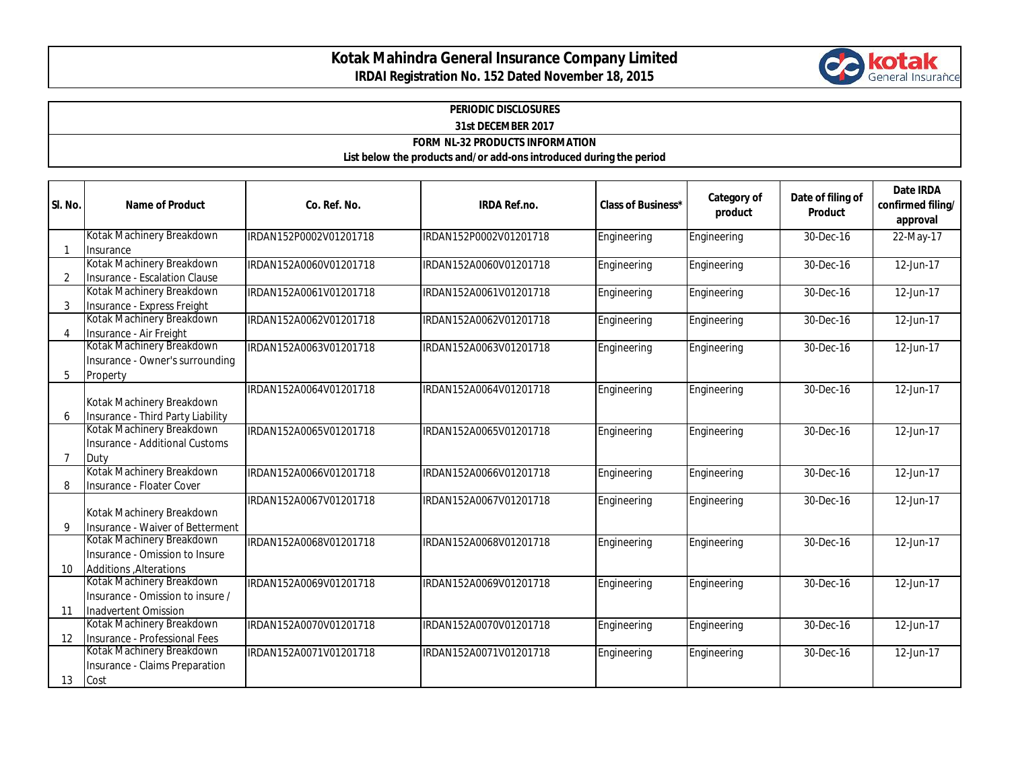## **Kotak Mahindra General Insurance Company Limited IRDAI Registration No. 152 Dated November 18, 2015**



## **PERIODIC DISCLOSURES**

**31st DECEMBER 2017**

**FORM NL-32 PRODUCTS INFORMATION**

**List below the products and/or add-ons introduced during the period**

| SI. No.        | <b>Name of Product</b>                                                                 | Co. Ref. No.           | <b>IRDA Ref.no.</b>    | <b>Class of Business*</b> | Category of<br>product | Date of filing of<br><b>Product</b> | <b>Date IRDA</b><br>confirmed filing/<br>approval |
|----------------|----------------------------------------------------------------------------------------|------------------------|------------------------|---------------------------|------------------------|-------------------------------------|---------------------------------------------------|
|                | Kotak Machinery Breakdown<br>Insurance                                                 | IRDAN152P0002V01201718 | IRDAN152P0002V01201718 | Engineering               | Engineering            | 30-Dec-16                           | 22-May-17                                         |
| 2              | Kotak Machinery Breakdown<br>Insurance - Escalation Clause                             | IRDAN152A0060V01201718 | IRDAN152A0060V01201718 | Engineering               | Engineering            | 30-Dec-16                           | 12-Jun-17                                         |
| 3              | Kotak Machinery Breakdown<br>Insurance - Express Freight                               | IRDAN152A0061V01201718 | IRDAN152A0061V01201718 | Engineering               | Engineering            | 30-Dec-16                           | 12-Jun-17                                         |
| $\Delta$       | Kotak Machinery Breakdown<br>Insurance - Air Freight                                   | IRDAN152A0062V01201718 | IRDAN152A0062V01201718 | Engineering               | Engineering            | 30-Dec-16                           | 12-Jun-17                                         |
| 5              | Kotak Machinery Breakdown<br>Insurance - Owner's surrounding<br>Property               | IRDAN152A0063V01201718 | IRDAN152A0063V01201718 | Engineering               | Engineering            | 30-Dec-16                           | 12-Jun-17                                         |
| 6              | Kotak Machinery Breakdown<br>Insurance - Third Party Liability                         | IRDAN152A0064V01201718 | IRDAN152A0064V01201718 | Engineering               | Engineering            | 30-Dec-16                           | 12-Jun-17                                         |
| $\overline{7}$ | Kotak Machinery Breakdown<br>Insurance - Additional Customs<br>Duty                    | IRDAN152A0065V01201718 | IRDAN152A0065V01201718 | Engineering               | Engineering            | 30-Dec-16                           | 12-Jun-17                                         |
| 8              | Kotak Machinery Breakdown<br>Insurance - Floater Cover                                 | IRDAN152A0066V01201718 | IRDAN152A0066V01201718 | Engineering               | Engineering            | 30-Dec-16                           | 12-Jun-17                                         |
| 9              | Kotak Machinery Breakdown<br>Insurance - Waiver of Betterment                          | IRDAN152A0067V01201718 | IRDAN152A0067V01201718 | Engineering               | Engineering            | 30-Dec-16                           | 12-Jun-17                                         |
| 10             | Kotak Machinery Breakdown<br>Insurance - Omission to Insure<br>Additions , Alterations | IRDAN152A0068V01201718 | IRDAN152A0068V01201718 | Engineering               | Engineering            | 30-Dec-16                           | 12-Jun-17                                         |
| 11             | Kotak Machinery Breakdown<br>Insurance - Omission to insure /<br>Inadvertent Omission  | IRDAN152A0069V01201718 | IRDAN152A0069V01201718 | Engineering               | Engineering            | $\overline{30}$ -Dec-16             | 12-Jun-17                                         |
| 12             | Kotak Machinery Breakdown<br>Insurance - Professional Fees                             | IRDAN152A0070V01201718 | IRDAN152A0070V01201718 | Engineering               | Engineering            | 30-Dec-16                           | 12-Jun-17                                         |
| 13             | Kotak Machinery Breakdown<br>Insurance - Claims Preparation<br>Cost                    | IRDAN152A0071V01201718 | IRDAN152A0071V01201718 | Engineering               | Engineering            | 30-Dec-16                           | 12-Jun-17                                         |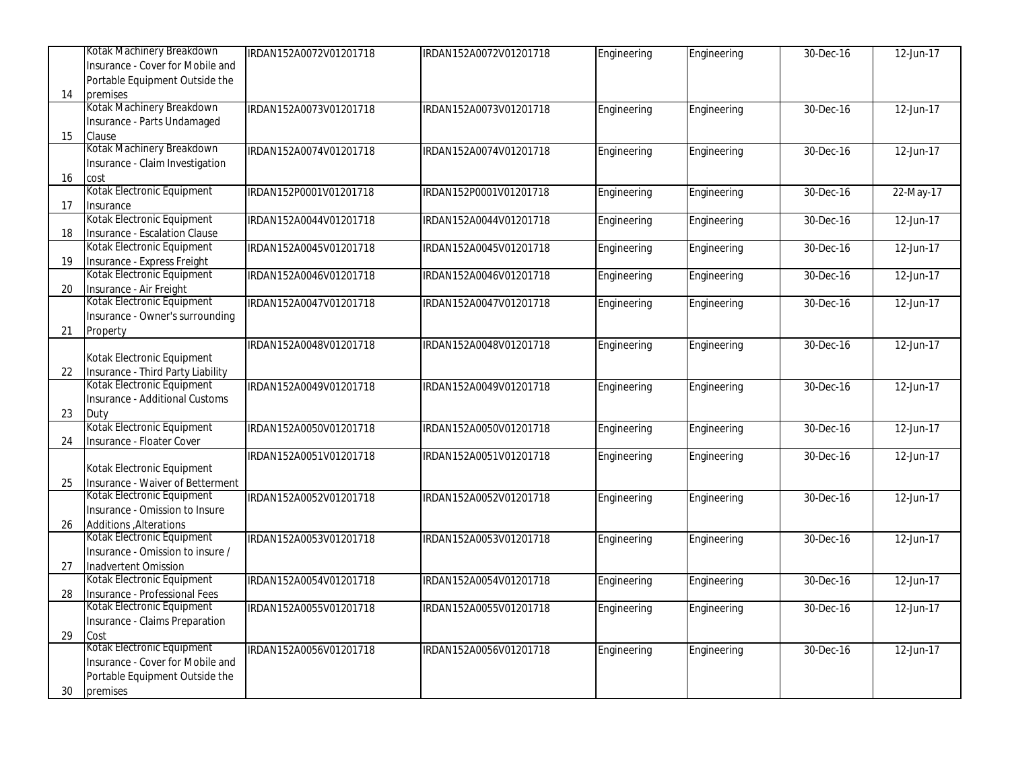|    | Kotak Machinery Breakdown                                       | IRDAN152A0072V01201718 | IRDAN152A0072V01201718 | Engineering | Engineering | 30-Dec-16 | 12-Jun-17 |
|----|-----------------------------------------------------------------|------------------------|------------------------|-------------|-------------|-----------|-----------|
|    | Insurance - Cover for Mobile and                                |                        |                        |             |             |           |           |
|    | Portable Equipment Outside the                                  |                        |                        |             |             |           |           |
| 14 | premises                                                        |                        |                        |             |             |           |           |
|    | Kotak Machinery Breakdown                                       | IRDAN152A0073V01201718 | IRDAN152A0073V01201718 | Engineering | Engineering | 30-Dec-16 | 12-Jun-17 |
|    | Insurance - Parts Undamaged                                     |                        |                        |             |             |           |           |
| 15 | Clause                                                          |                        |                        |             |             |           |           |
|    | Kotak Machinery Breakdown                                       | IRDAN152A0074V01201718 | IRDAN152A0074V01201718 | Engineering | Engineering | 30-Dec-16 | 12-Jun-17 |
|    | Insurance - Claim Investigation                                 |                        |                        |             |             |           |           |
| 16 | cost                                                            |                        |                        |             |             |           |           |
|    | Kotak Electronic Equipment                                      | IRDAN152P0001V01201718 | IRDAN152P0001V01201718 | Engineering | Engineering | 30-Dec-16 | 22-May-17 |
| 17 | Insurance                                                       |                        |                        |             |             |           |           |
|    | Kotak Electronic Equipment                                      | IRDAN152A0044V01201718 | IRDAN152A0044V01201718 | Engineering | Engineering | 30-Dec-16 | 12-Jun-17 |
| 18 | Insurance - Escalation Clause                                   |                        |                        |             |             |           |           |
|    | Kotak Electronic Equipment                                      | IRDAN152A0045V01201718 | IRDAN152A0045V01201718 | Engineering | Engineering | 30-Dec-16 | 12-Jun-17 |
| 19 | Insurance - Express Freight                                     |                        |                        |             |             |           |           |
|    | Kotak Electronic Equipment                                      | IRDAN152A0046V01201718 | IRDAN152A0046V01201718 |             | Engineering | 30-Dec-16 | 12-Jun-17 |
| 20 | Insurance - Air Freight                                         |                        |                        | Engineering |             |           |           |
|    | Kotak Electronic Equipment                                      | IRDAN152A0047V01201718 | IRDAN152A0047V01201718 |             |             | 30-Dec-16 | 12-Jun-17 |
|    | Insurance - Owner's surrounding                                 |                        |                        | Engineering | Engineering |           |           |
|    |                                                                 |                        |                        |             |             |           |           |
| 21 | Property                                                        | IRDAN152A0048V01201718 |                        |             |             |           |           |
|    | Kotak Electronic Equipment                                      |                        | IRDAN152A0048V01201718 | Engineering | Engineering | 30-Dec-16 | 12-Jun-17 |
|    |                                                                 |                        |                        |             |             |           |           |
| 22 | Insurance - Third Party Liability<br>Kotak Electronic Equipment |                        |                        |             |             |           |           |
|    | Insurance - Additional Customs                                  | IRDAN152A0049V01201718 | IRDAN152A0049V01201718 | Engineering | Engineering | 30-Dec-16 | 12-Jun-17 |
|    |                                                                 |                        |                        |             |             |           |           |
| 23 | Duty<br>Kotak Electronic Equipment                              |                        |                        |             |             |           |           |
|    |                                                                 | IRDAN152A0050V01201718 | IRDAN152A0050V01201718 | Engineering | Engineering | 30-Dec-16 | 12-Jun-17 |
| 24 | Insurance - Floater Cover                                       |                        |                        |             |             |           |           |
|    |                                                                 | IRDAN152A0051V01201718 | IRDAN152A0051V01201718 | Engineering | Engineering | 30-Dec-16 | 12-Jun-17 |
|    | Kotak Electronic Equipment                                      |                        |                        |             |             |           |           |
| 25 | Insurance - Waiver of Betterment<br>Kotak Electronic Equipment  |                        |                        |             |             |           |           |
|    |                                                                 | IRDAN152A0052V01201718 | IRDAN152A0052V01201718 | Engineering | Engineering | 30-Dec-16 | 12-Jun-17 |
|    | Insurance - Omission to Insure                                  |                        |                        |             |             |           |           |
| 26 | Additions , Alterations                                         |                        |                        |             |             |           |           |
|    | Kotak Electronic Equipment                                      | IRDAN152A0053V01201718 | IRDAN152A0053V01201718 | Engineering | Engineering | 30-Dec-16 | 12-Jun-17 |
|    | Insurance - Omission to insure /                                |                        |                        |             |             |           |           |
| 27 | Inadvertent Omission                                            |                        |                        |             |             |           |           |
|    | Kotak Electronic Equipment                                      | IRDAN152A0054V01201718 | IRDAN152A0054V01201718 | Engineering | Engineering | 30-Dec-16 | 12-Jun-17 |
| 28 | Insurance - Professional Fees                                   |                        |                        |             |             |           |           |
|    | Kotak Electronic Equipment                                      | IRDAN152A0055V01201718 | IRDAN152A0055V01201718 | Engineering | Engineering | 30-Dec-16 | 12-Jun-17 |
|    | Insurance - Claims Preparation                                  |                        |                        |             |             |           |           |
| 29 | Cost                                                            |                        |                        |             |             |           |           |
|    | Kotak Electronic Equipment                                      | IRDAN152A0056V01201718 | IRDAN152A0056V01201718 | Engineering | Engineering | 30-Dec-16 | 12-Jun-17 |
|    | Insurance - Cover for Mobile and                                |                        |                        |             |             |           |           |
|    | Portable Equipment Outside the                                  |                        |                        |             |             |           |           |
| 30 | premises                                                        |                        |                        |             |             |           |           |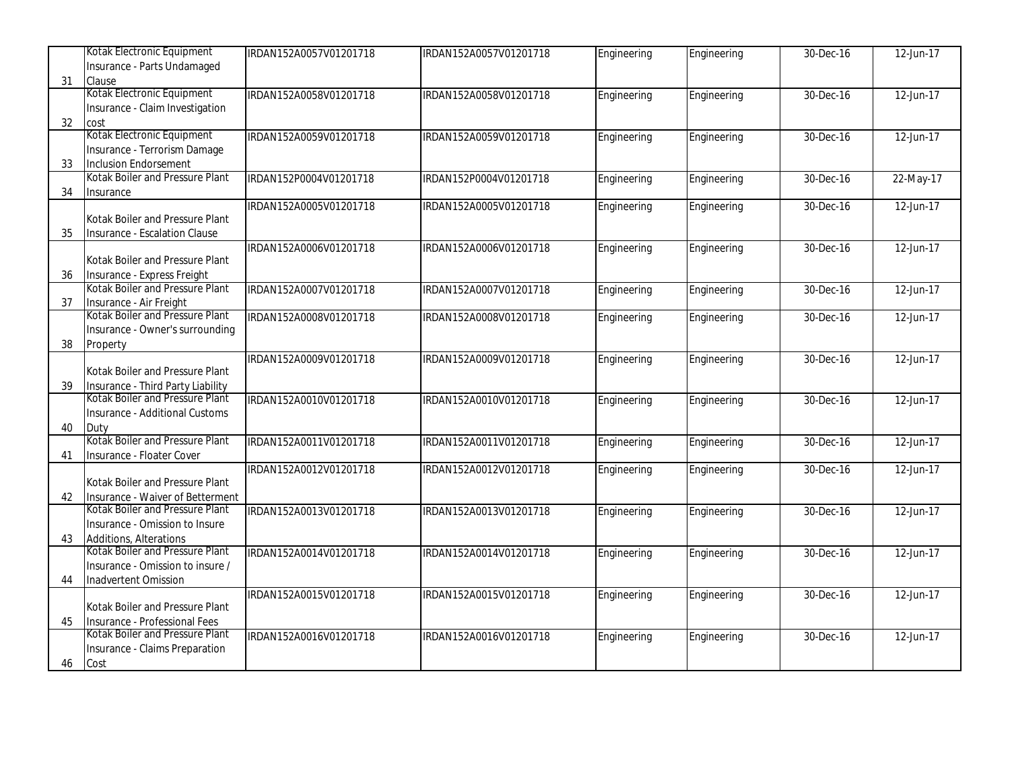|    | Kotak Electronic Equipment        | IRDAN152A0057V01201718 | IRDAN152A0057V01201718 | Engineering | Engineering | 30-Dec-16 | 12-Jun-17                  |
|----|-----------------------------------|------------------------|------------------------|-------------|-------------|-----------|----------------------------|
|    | Insurance - Parts Undamaged       |                        |                        |             |             |           |                            |
| 31 | Clause                            |                        |                        |             |             |           |                            |
|    | Kotak Electronic Equipment        | IRDAN152A0058V01201718 | IRDAN152A0058V01201718 | Engineering | Engineering | 30-Dec-16 | 12-Jun-17                  |
|    | Insurance - Claim Investigation   |                        |                        |             |             |           |                            |
| 32 | cost                              |                        |                        |             |             |           |                            |
|    | Kotak Electronic Equipment        | IRDAN152A0059V01201718 | IRDAN152A0059V01201718 | Engineering | Engineering | 30-Dec-16 | 12-Jun-17                  |
|    | Insurance - Terrorism Damage      |                        |                        |             |             |           |                            |
| 33 | <b>Inclusion Endorsement</b>      |                        |                        |             |             |           |                            |
|    | Kotak Boiler and Pressure Plant   | IRDAN152P0004V01201718 | IRDAN152P0004V01201718 | Engineering | Engineering | 30-Dec-16 | 22-May-17                  |
| 34 | Insurance                         |                        |                        |             |             |           |                            |
|    |                                   | IRDAN152A0005V01201718 | IRDAN152A0005V01201718 | Engineering | Engineering | 30-Dec-16 | 12-Jun-17                  |
|    | Kotak Boiler and Pressure Plant   |                        |                        |             |             |           |                            |
| 35 | Insurance - Escalation Clause     |                        |                        |             |             |           |                            |
|    |                                   | IRDAN152A0006V01201718 | IRDAN152A0006V01201718 | Engineering | Engineering | 30-Dec-16 | 12-Jun-17                  |
|    | Kotak Boiler and Pressure Plant   |                        |                        |             |             |           |                            |
| 36 | Insurance - Express Freight       |                        |                        |             |             |           |                            |
|    | Kotak Boiler and Pressure Plant   | IRDAN152A0007V01201718 | IRDAN152A0007V01201718 | Engineering | Engineering | 30-Dec-16 | $12$ -Jun- $\overline{17}$ |
| 37 | Insurance - Air Freight           |                        |                        |             |             |           |                            |
|    | Kotak Boiler and Pressure Plant   | IRDAN152A0008V01201718 | IRDAN152A0008V01201718 | Engineering | Engineering | 30-Dec-16 | 12-Jun-17                  |
|    | Insurance - Owner's surrounding   |                        |                        |             |             |           |                            |
| 38 | Property                          |                        |                        |             |             |           |                            |
|    |                                   | IRDAN152A0009V01201718 | IRDAN152A0009V01201718 | Engineering | Engineering | 30-Dec-16 | 12-Jun-17                  |
|    | Kotak Boiler and Pressure Plant   |                        |                        |             |             |           |                            |
| 39 | Insurance - Third Party Liability |                        |                        |             |             |           |                            |
|    | Kotak Boiler and Pressure Plant   | IRDAN152A0010V01201718 | IRDAN152A0010V01201718 | Engineering | Engineering | 30-Dec-16 | 12-Jun-17                  |
|    | Insurance - Additional Customs    |                        |                        |             |             |           |                            |
| 40 | Duty                              |                        |                        |             |             |           |                            |
|    | Kotak Boiler and Pressure Plant   | IRDAN152A0011V01201718 | IRDAN152A0011V01201718 | Engineering | Engineering | 30-Dec-16 | 12-Jun-17                  |
| 41 | Insurance - Floater Cover         |                        |                        |             |             |           |                            |
|    |                                   | IRDAN152A0012V01201718 | IRDAN152A0012V01201718 | Engineering | Engineering | 30-Dec-16 | 12-Jun-17                  |
|    | Kotak Boiler and Pressure Plant   |                        |                        |             |             |           |                            |
| 42 | Insurance - Waiver of Betterment  |                        |                        |             |             |           |                            |
|    | Kotak Boiler and Pressure Plant   | IRDAN152A0013V01201718 | IRDAN152A0013V01201718 | Engineering | Engineering | 30-Dec-16 | 12-Jun-17                  |
|    | Insurance - Omission to Insure    |                        |                        |             |             |           |                            |
| 43 | Additions, Alterations            |                        |                        |             |             |           |                            |
|    | Kotak Boiler and Pressure Plant   | IRDAN152A0014V01201718 | IRDAN152A0014V01201718 | Engineering | Engineering | 30-Dec-16 | 12-Jun-17                  |
|    | Insurance - Omission to insure /  |                        |                        |             |             |           |                            |
| 44 | Inadvertent Omission              |                        |                        |             |             |           |                            |
|    |                                   | IRDAN152A0015V01201718 | IRDAN152A0015V01201718 | Engineering | Engineering | 30-Dec-16 | 12-Jun-17                  |
|    | Kotak Boiler and Pressure Plant   |                        |                        |             |             |           |                            |
| 45 | Insurance - Professional Fees     |                        |                        |             |             |           |                            |
|    | Kotak Boiler and Pressure Plant   | IRDAN152A0016V01201718 | IRDAN152A0016V01201718 | Engineering | Engineering | 30-Dec-16 | 12-Jun-17                  |
|    | Insurance - Claims Preparation    |                        |                        |             |             |           |                            |
| 46 | Cost                              |                        |                        |             |             |           |                            |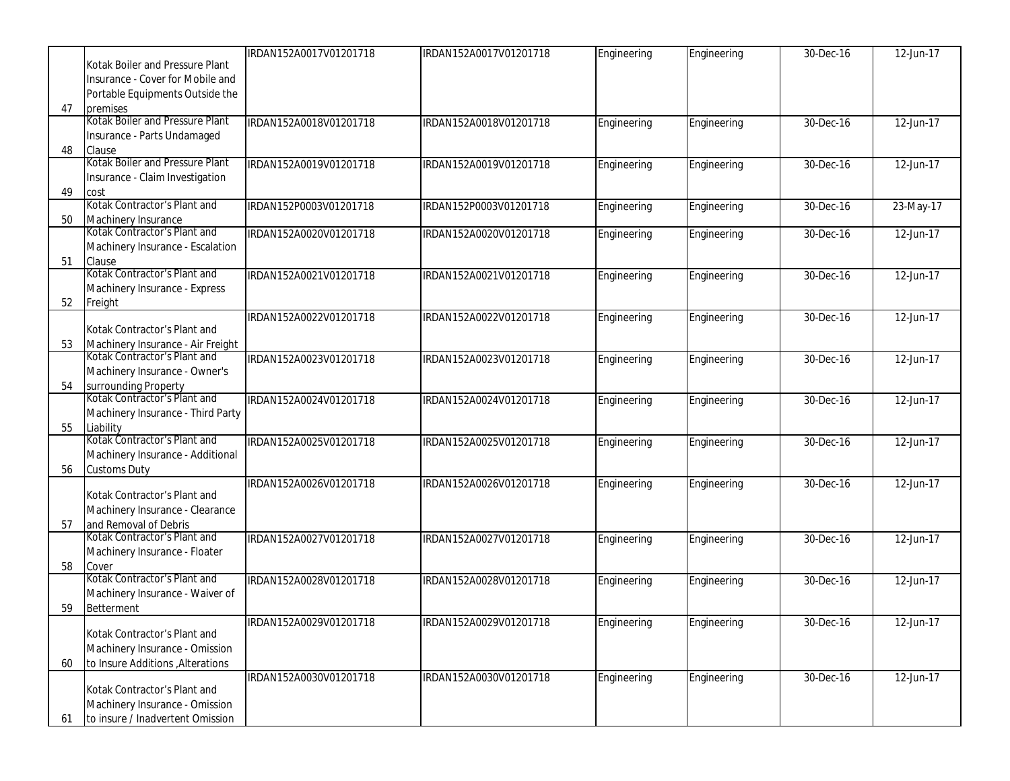|    |                                                      | IRDAN152A0017V01201718 | IRDAN152A0017V01201718 | Engineering | Engineering | 30-Dec-16 | 12-Jun-17 |
|----|------------------------------------------------------|------------------------|------------------------|-------------|-------------|-----------|-----------|
|    | Kotak Boiler and Pressure Plant                      |                        |                        |             |             |           |           |
|    | Insurance - Cover for Mobile and                     |                        |                        |             |             |           |           |
|    | Portable Equipments Outside the                      |                        |                        |             |             |           |           |
| 47 | premises                                             |                        |                        |             |             |           |           |
|    | Kotak Boiler and Pressure Plant                      | IRDAN152A0018V01201718 | IRDAN152A0018V01201718 | Engineering | Engineering | 30-Dec-16 | 12-Jun-17 |
|    | Insurance - Parts Undamaged                          |                        |                        |             |             |           |           |
| 48 | Clause<br>Kotak Boiler and Pressure Plant            |                        |                        |             |             |           |           |
|    |                                                      | IRDAN152A0019V01201718 | IRDAN152A0019V01201718 | Engineering | Engineering | 30-Dec-16 | 12-Jun-17 |
|    | Insurance - Claim Investigation                      |                        |                        |             |             |           |           |
| 49 | cost<br>Kotak Contractor's Plant and                 | IRDAN152P0003V01201718 | IRDAN152P0003V01201718 |             |             | 30-Dec-16 | 23-May-17 |
| 50 | Machinery Insurance                                  |                        |                        | Engineering | Engineering |           |           |
|    | Kotak Contractor's Plant and                         | IRDAN152A0020V01201718 | IRDAN152A0020V01201718 | Engineering | Engineering | 30-Dec-16 | 12-Jun-17 |
|    | Machinery Insurance - Escalation                     |                        |                        |             |             |           |           |
| 51 | Clause                                               |                        |                        |             |             |           |           |
|    | Kotak Contractor's Plant and                         | IRDAN152A0021V01201718 | IRDAN152A0021V01201718 | Engineering | Engineering | 30-Dec-16 | 12-Jun-17 |
|    | Machinery Insurance - Express                        |                        |                        |             |             |           |           |
| 52 | Freight                                              |                        |                        |             |             |           |           |
|    |                                                      | IRDAN152A0022V01201718 | IRDAN152A0022V01201718 | Engineering | Engineering | 30-Dec-16 | 12-Jun-17 |
|    | Kotak Contractor's Plant and                         |                        |                        |             |             |           |           |
| 53 | Machinery Insurance - Air Freight                    |                        |                        |             |             |           |           |
|    | Kotak Contractor's Plant and                         | IRDAN152A0023V01201718 | IRDAN152A0023V01201718 | Engineering | Engineering | 30-Dec-16 | 12-Jun-17 |
|    | Machinery Insurance - Owner's                        |                        |                        |             |             |           |           |
| 54 | surrounding Property<br>Kotak Contractor's Plant and |                        |                        |             |             |           |           |
|    |                                                      | IRDAN152A0024V01201718 | IRDAN152A0024V01201718 | Engineering | Engineering | 30-Dec-16 | 12-Jun-17 |
|    | Machinery Insurance - Third Party                    |                        |                        |             |             |           |           |
| 55 | Liability                                            |                        |                        |             |             |           |           |
|    | Kotak Contractor's Plant and                         | IRDAN152A0025V01201718 | IRDAN152A0025V01201718 | Engineering | Engineering | 30-Dec-16 | 12-Jun-17 |
|    | Machinery Insurance - Additional                     |                        |                        |             |             |           |           |
| 56 | <b>Customs Duty</b>                                  |                        |                        |             |             |           |           |
|    | Kotak Contractor's Plant and                         | IRDAN152A0026V01201718 | IRDAN152A0026V01201718 | Engineering | Engineering | 30-Dec-16 | 12-Jun-17 |
|    | Machinery Insurance - Clearance                      |                        |                        |             |             |           |           |
| 57 | and Removal of Debris                                |                        |                        |             |             |           |           |
|    | Kotak Contractor's Plant and                         | IRDAN152A0027V01201718 | IRDAN152A0027V01201718 | Engineering | Engineering | 30-Dec-16 | 12-Jun-17 |
|    | Machinery Insurance - Floater                        |                        |                        |             |             |           |           |
| 58 | Cover                                                |                        |                        |             |             |           |           |
|    | Kotak Contractor's Plant and                         | IRDAN152A0028V01201718 | IRDAN152A0028V01201718 | Engineering | Engineering | 30-Dec-16 | 12-Jun-17 |
|    | Machinery Insurance - Waiver of                      |                        |                        |             |             |           |           |
| 59 | Betterment                                           |                        |                        |             |             |           |           |
|    |                                                      | IRDAN152A0029V01201718 | IRDAN152A0029V01201718 | Engineering | Engineering | 30-Dec-16 | 12-Jun-17 |
|    | Kotak Contractor's Plant and                         |                        |                        |             |             |           |           |
|    | Machinery Insurance - Omission                       |                        |                        |             |             |           |           |
| 60 | to Insure Additions , Alterations                    |                        |                        |             |             |           |           |
|    |                                                      | IRDAN152A0030V01201718 | IRDAN152A0030V01201718 | Engineering | Engineering | 30-Dec-16 | 12-Jun-17 |
|    | Kotak Contractor's Plant and                         |                        |                        |             |             |           |           |
|    | Machinery Insurance - Omission                       |                        |                        |             |             |           |           |
| 61 | to insure / Inadvertent Omission                     |                        |                        |             |             |           |           |